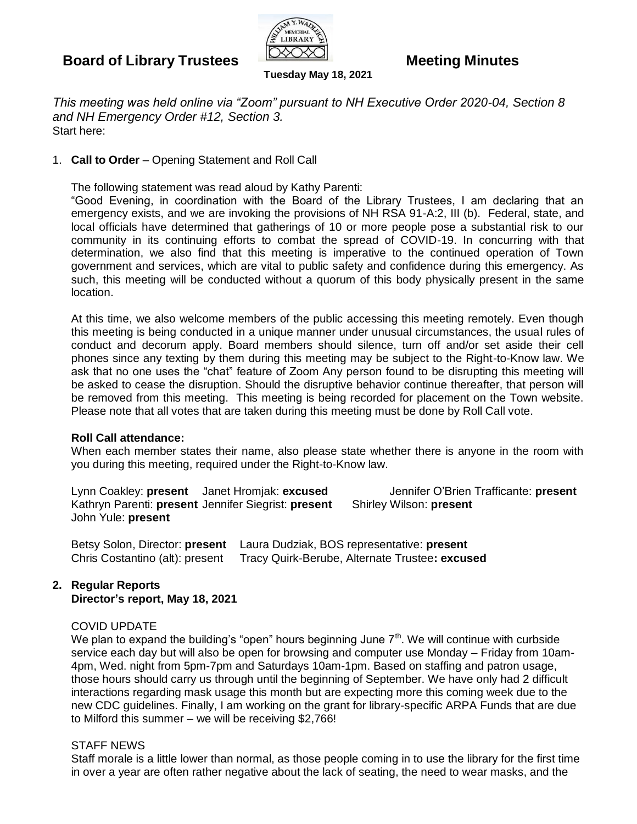# **Board of Library Trustees Meeting Minutes**



*This meeting was held online via "Zoom" pursuant to NH Executive Order 2020-04, Section 8 and NH Emergency Order #12, Section 3.* Start here:

**Tuesday May 18, 2021**

### 1. **Call to Order** – Opening Statement and Roll Call

The following statement was read aloud by Kathy Parenti:

"Good Evening, in coordination with the Board of the Library Trustees, I am declaring that an emergency exists, and we are invoking the provisions of NH RSA 91-A:2, III (b). Federal, state, and local officials have determined that gatherings of 10 or more people pose a substantial risk to our community in its continuing efforts to combat the spread of COVID-19. In concurring with that determination, we also find that this meeting is imperative to the continued operation of Town government and services, which are vital to public safety and confidence during this emergency. As such, this meeting will be conducted without a quorum of this body physically present in the same location.

At this time, we also welcome members of the public accessing this meeting remotely. Even though this meeting is being conducted in a unique manner under unusual circumstances, the usual rules of conduct and decorum apply. Board members should silence, turn off and/or set aside their cell phones since any texting by them during this meeting may be subject to the Right-to-Know law. We ask that no one uses the "chat" feature of Zoom Any person found to be disrupting this meeting will be asked to cease the disruption. Should the disruptive behavior continue thereafter, that person will be removed from this meeting. This meeting is being recorded for placement on the Town website. Please note that all votes that are taken during this meeting must be done by Roll Call vote.

#### **Roll Call attendance:**

When each member states their name, also please state whether there is anyone in the room with you during this meeting, required under the Right-to-Know law.

Lynn Coakley: **present** Janet Hromjak: **excused** Jennifer O'Brien Trafficante: **present** Kathryn Parenti: **present** Jennifer Siegrist: **present** Shirley Wilson: **present** John Yule: **present**

Betsy Solon, Director: **present** Laura Dudziak, BOS representative: **present** Chris Costantino (alt): present Tracy Quirk-Berube, Alternate Trustee**: excused**

#### **2. Regular Reports Director's report, May 18, 2021**

#### COVID UPDATE

We plan to expand the building's "open" hours beginning June  $7<sup>th</sup>$ . We will continue with curbside service each day but will also be open for browsing and computer use Monday – Friday from 10am-4pm, Wed. night from 5pm-7pm and Saturdays 10am-1pm. Based on staffing and patron usage, those hours should carry us through until the beginning of September. We have only had 2 difficult interactions regarding mask usage this month but are expecting more this coming week due to the new CDC guidelines. Finally, I am working on the grant for library-specific ARPA Funds that are due to Milford this summer – we will be receiving \$2,766!

### STAFF NEWS

Staff morale is a little lower than normal, as those people coming in to use the library for the first time in over a year are often rather negative about the lack of seating, the need to wear masks, and the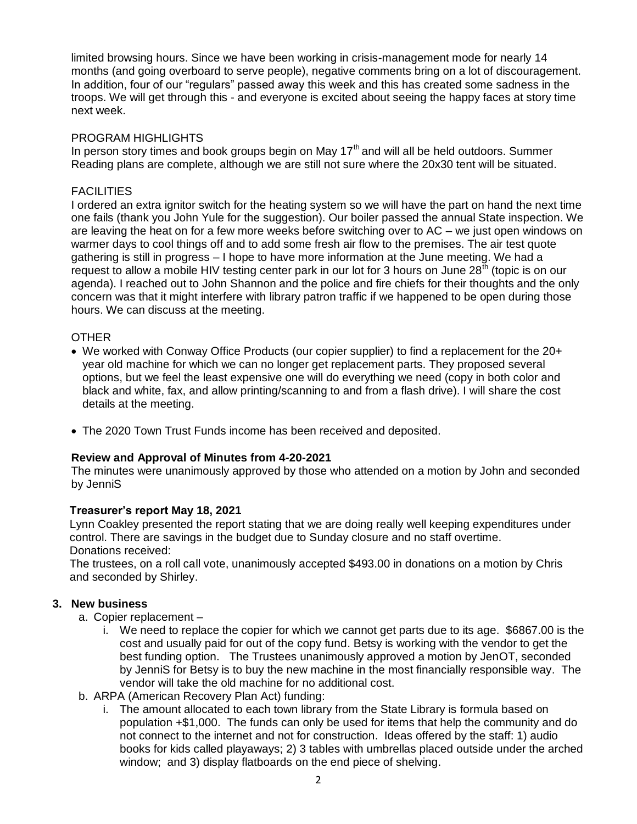limited browsing hours. Since we have been working in crisis-management mode for nearly 14 months (and going overboard to serve people), negative comments bring on a lot of discouragement. In addition, four of our "regulars" passed away this week and this has created some sadness in the troops. We will get through this - and everyone is excited about seeing the happy faces at story time next week.

### PROGRAM HIGHLIGHTS

In person story times and book groups begin on May  $17<sup>th</sup>$  and will all be held outdoors. Summer Reading plans are complete, although we are still not sure where the 20x30 tent will be situated.

# **FACILITIES**

I ordered an extra ignitor switch for the heating system so we will have the part on hand the next time one fails (thank you John Yule for the suggestion). Our boiler passed the annual State inspection. We are leaving the heat on for a few more weeks before switching over to AC – we just open windows on warmer days to cool things off and to add some fresh air flow to the premises. The air test quote gathering is still in progress – I hope to have more information at the June meeting. We had a request to allow a mobile HIV testing center park in our lot for 3 hours on June 28<sup>th</sup> (topic is on our agenda). I reached out to John Shannon and the police and fire chiefs for their thoughts and the only concern was that it might interfere with library patron traffic if we happened to be open during those hours. We can discuss at the meeting.

# **OTHER**

- We worked with Conway Office Products (our copier supplier) to find a replacement for the 20+ year old machine for which we can no longer get replacement parts. They proposed several options, but we feel the least expensive one will do everything we need (copy in both color and black and white, fax, and allow printing/scanning to and from a flash drive). I will share the cost details at the meeting.
- The 2020 Town Trust Funds income has been received and deposited.

#### **Review and Approval of Minutes from 4-20-2021**

The minutes were unanimously approved by those who attended on a motion by John and seconded by JenniS

#### **Treasurer's report May 18, 2021**

Lynn Coakley presented the report stating that we are doing really well keeping expenditures under control. There are savings in the budget due to Sunday closure and no staff overtime. Donations received:

The trustees, on a roll call vote, unanimously accepted \$493.00 in donations on a motion by Chris and seconded by Shirley.

# **3. New business**

- a. Copier replacement
	- i. We need to replace the copier for which we cannot get parts due to its age. \$6867.00 is the cost and usually paid for out of the copy fund. Betsy is working with the vendor to get the best funding option. The Trustees unanimously approved a motion by JenOT, seconded by JenniS for Betsy is to buy the new machine in the most financially responsible way. The vendor will take the old machine for no additional cost.
- b. ARPA (American Recovery Plan Act) funding:
	- i. The amount allocated to each town library from the State Library is formula based on population +\$1,000. The funds can only be used for items that help the community and do not connect to the internet and not for construction. Ideas offered by the staff: 1) audio books for kids called playaways; 2) 3 tables with umbrellas placed outside under the arched window; and 3) display flatboards on the end piece of shelving.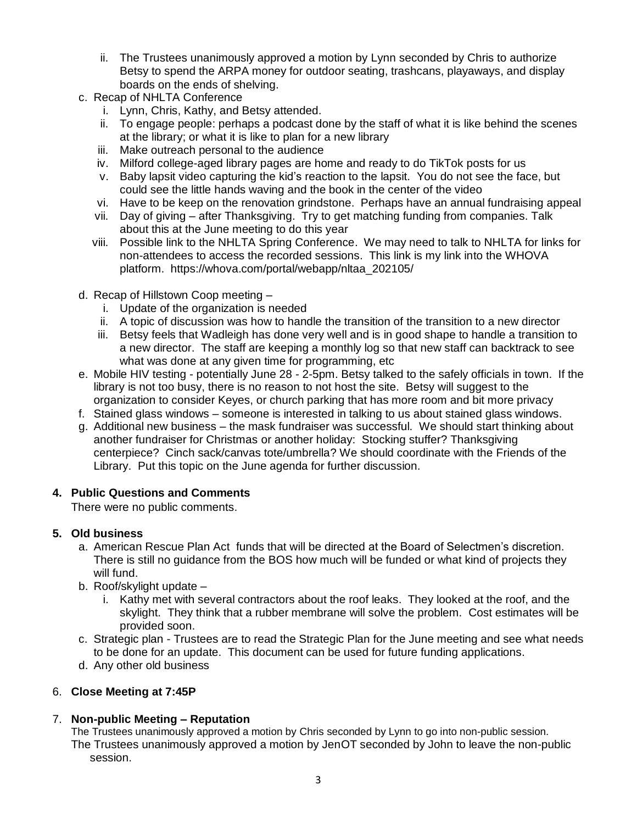- ii. The Trustees unanimously approved a motion by Lynn seconded by Chris to authorize Betsy to spend the ARPA money for outdoor seating, trashcans, playaways, and display boards on the ends of shelving.
- c. Recap of NHLTA Conference
	- i. Lynn, Chris, Kathy, and Betsy attended.
	- ii. To engage people: perhaps a podcast done by the staff of what it is like behind the scenes at the library; or what it is like to plan for a new library
	- iii. Make outreach personal to the audience
	- iv. Milford college-aged library pages are home and ready to do TikTok posts for us
	- v. Baby lapsit video capturing the kid's reaction to the lapsit. You do not see the face, but could see the little hands waving and the book in the center of the video
	- vi. Have to be keep on the renovation grindstone. Perhaps have an annual fundraising appeal
	- vii. Day of giving after Thanksgiving. Try to get matching funding from companies. Talk about this at the June meeting to do this year
	- viii. Possible link to the NHLTA Spring Conference. We may need to talk to NHLTA for links for non-attendees to access the recorded sessions. This link is my link into the WHOVA platform. https://whova.com/portal/webapp/nltaa\_202105/
- d. Recap of Hillstown Coop meeting
	- i. Update of the organization is needed
	- ii. A topic of discussion was how to handle the transition of the transition to a new director
	- iii. Betsy feels that Wadleigh has done very well and is in good shape to handle a transition to a new director. The staff are keeping a monthly log so that new staff can backtrack to see what was done at any given time for programming, etc
- e. Mobile HIV testing potentially June 28 2-5pm. Betsy talked to the safely officials in town. If the library is not too busy, there is no reason to not host the site. Betsy will suggest to the organization to consider Keyes, or church parking that has more room and bit more privacy
- f. Stained glass windows someone is interested in talking to us about stained glass windows.
- g. Additional new business the mask fundraiser was successful. We should start thinking about another fundraiser for Christmas or another holiday: Stocking stuffer? Thanksgiving centerpiece? Cinch sack/canvas tote/umbrella? We should coordinate with the Friends of the Library. Put this topic on the June agenda for further discussion.

# **4. Public Questions and Comments**

There were no public comments.

#### **5. Old business**

- a. American Rescue Plan Act funds that will be directed at the Board of Selectmen's discretion. There is still no guidance from the BOS how much will be funded or what kind of projects they will fund.
- b. Roof/skylight update
	- i. Kathy met with several contractors about the roof leaks. They looked at the roof, and the skylight. They think that a rubber membrane will solve the problem. Cost estimates will be provided soon.
- c. Strategic plan Trustees are to read the Strategic Plan for the June meeting and see what needs to be done for an update. This document can be used for future funding applications.
- d. Any other old business

# 6. **Close Meeting at 7:45P**

# 7. **Non-public Meeting – Reputation**

The Trustees unanimously approved a motion by Chris seconded by Lynn to go into non-public session. The Trustees unanimously approved a motion by JenOT seconded by John to leave the non-public session.